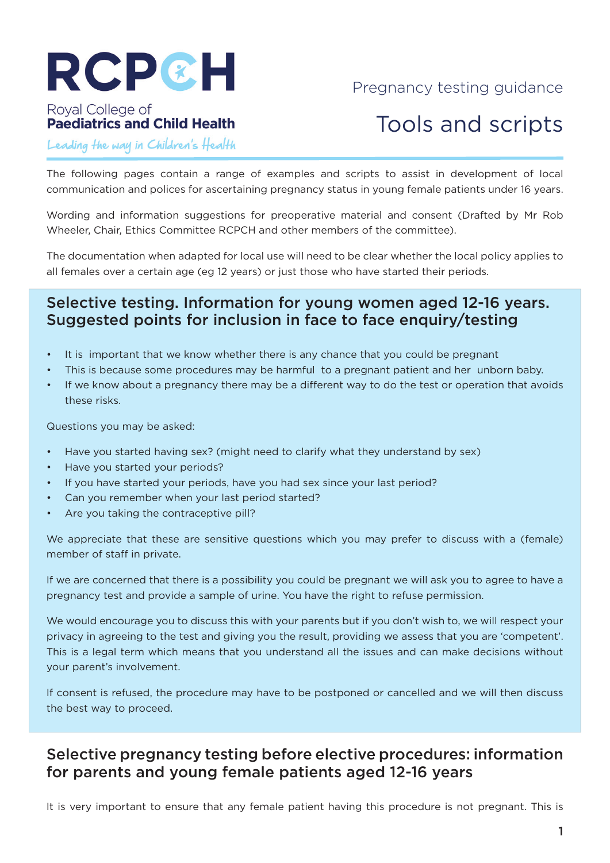

## Pregnancy testing guidance

#### Royal College of **Paediatrics and Child Health**

# Tools and scripts

Leading the way in Children's Health

The following pages contain a range of examples and scripts to assist in development of local communication and polices for ascertaining pregnancy status in young female patients under 16 years.

Wording and information suggestions for preoperative material and consent (Drafted by Mr Rob Wheeler, Chair, Ethics Committee RCPCH and other members of the committee).

The documentation when adapted for local use will need to be clear whether the local policy applies to all females over a certain age (eg 12 years) or just those who have started their periods.

#### Selective testing. Information for young women aged 12-16 years. Suggested points for inclusion in face to face enquiry/testing

- It is important that we know whether there is any chance that you could be pregnant
- This is because some procedures may be harmful to a pregnant patient and her unborn baby.
- If we know about a pregnancy there may be a different way to do the test or operation that avoids these risks.

Questions you may be asked:

- Have you started having sex? (might need to clarify what they understand by sex)
- Have you started your periods?
- If you have started your periods, have you had sex since your last period?
- Can you remember when your last period started?
- Are you taking the contraceptive pill?

We appreciate that these are sensitive questions which you may prefer to discuss with a (female) member of staff in private.

If we are concerned that there is a possibility you could be pregnant we will ask you to agree to have a pregnancy test and provide a sample of urine. You have the right to refuse permission.

We would encourage you to discuss this with your parents but if you don't wish to, we will respect your privacy in agreeing to the test and giving you the result, providing we assess that you are 'competent'. This is a legal term which means that you understand all the issues and can make decisions without your parent's involvement.

If consent is refused, the procedure may have to be postponed or cancelled and we will then discuss the best way to proceed.

### Selective pregnancy testing before elective procedures: information for parents and young female patients aged 12-16 years

It is very important to ensure that any female patient having this procedure is not pregnant. This is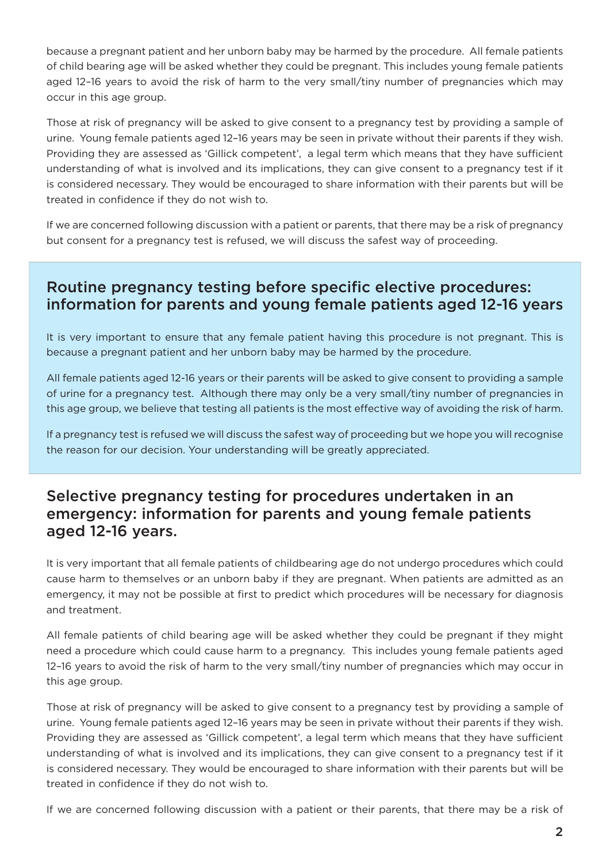because a pregnant patient and her unborn baby may be harmed by the procedure. All female patients of child bearing age will be asked whether they could be pregnant. This includes young female patients aged 12–16 years to avoid the risk of harm to the very small/tiny number of pregnancies which may occur in this age group.

Those at risk of pregnancy will be asked to give consent to a pregnancy test by providing a sample of urine. Young female patients aged 12–16 years may be seen in private without their parents if they wish. Providing they are assessed as 'Gillick competent', a legal term which means that they have sufficient understanding of what is involved and its implications, they can give consent to a pregnancy test if it is considered necessary. They would be encouraged to share information with their parents but will be treated in confidence if they do not wish to.

If we are concerned following discussion with a patient or parents, that there may be a risk of pregnancy but consent for a pregnancy test is refused, we will discuss the safest way of proceeding.

# Routine pregnancy testing before specific elective procedures: information for parents and young female patients aged 12-16 years

It is very important to ensure that any female patient having this procedure is not pregnant. This is because a pregnant patient and her unborn baby may be harmed by the procedure.

All female patients aged 12-16 years or their parents will be asked to give consent to providing a sample of urine for a pregnancy test. Although there may only be a very small/tiny number of pregnancies in this age group, we believe that testing all patients is the most effective way of avoiding the risk of harm.

If a pregnancy test is refused we will discuss the safest way of proceeding but we hope you will recognise the reason for our decision. Your understanding will be greatly appreciated.

### Selective pregnancy testing for procedures undertaken in an emergency: information for parents and young female patients aged 12-16 years.

It is very important that all female patients of childbearing age do not undergo procedures which could cause harm to themselves or an unborn baby if they are pregnant. When patients are admitted as an emergency, it may not be possible at first to predict which procedures will be necessary for diagnosis and treatment.

All female patients of child bearing age will be asked whether they could be pregnant if they might need a procedure which could cause harm to a pregnancy. This includes young female patients aged 12–16 years to avoid the risk of harm to the very small/tiny number of pregnancies which may occur in this age group.

Those at risk of pregnancy will be asked to give consent to a pregnancy test by providing a sample of urine. Young female patients aged 12–16 years may be seen in private without their parents if they wish. Providing they are assessed as 'Gillick competent', a legal term which means that they have sufficient understanding of what is involved and its implications, they can give consent to a pregnancy test if it is considered necessary. They would be encouraged to share information with their parents but will be treated in confidence if they do not wish to.

If we are concerned following discussion with a patient or their parents, that there may be a risk of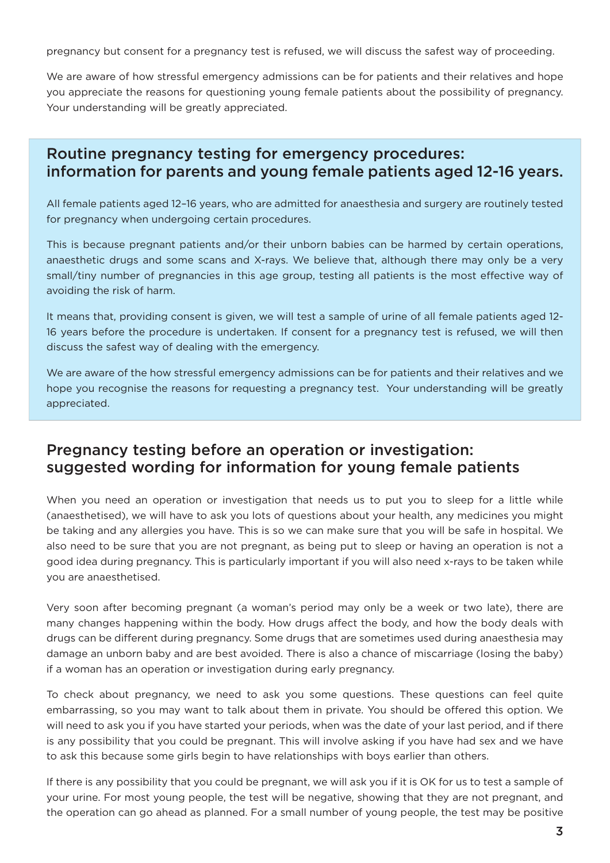pregnancy but consent for a pregnancy test is refused, we will discuss the safest way of proceeding.

We are aware of how stressful emergency admissions can be for patients and their relatives and hope you appreciate the reasons for questioning young female patients about the possibility of pregnancy. Your understanding will be greatly appreciated.

### Routine pregnancy testing for emergency procedures: information for parents and young female patients aged 12-16 years.

All female patients aged 12–16 years, who are admitted for anaesthesia and surgery are routinely tested for pregnancy when undergoing certain procedures.

This is because pregnant patients and/or their unborn babies can be harmed by certain operations, anaesthetic drugs and some scans and X-rays. We believe that, although there may only be a very small/tiny number of pregnancies in this age group, testing all patients is the most effective way of avoiding the risk of harm.

It means that, providing consent is given, we will test a sample of urine of all female patients aged 12- 16 years before the procedure is undertaken. If consent for a pregnancy test is refused, we will then discuss the safest way of dealing with the emergency.

We are aware of the how stressful emergency admissions can be for patients and their relatives and we hope you recognise the reasons for requesting a pregnancy test. Your understanding will be greatly appreciated.

#### Pregnancy testing before an operation or investigation: suggested wording for information for young female patients

When you need an operation or investigation that needs us to put you to sleep for a little while (anaesthetised), we will have to ask you lots of questions about your health, any medicines you might be taking and any allergies you have. This is so we can make sure that you will be safe in hospital. We also need to be sure that you are not pregnant, as being put to sleep or having an operation is not a good idea during pregnancy. This is particularly important if you will also need x-rays to be taken while you are anaesthetised.

Very soon after becoming pregnant (a woman's period may only be a week or two late), there are many changes happening within the body. How drugs affect the body, and how the body deals with drugs can be different during pregnancy. Some drugs that are sometimes used during anaesthesia may damage an unborn baby and are best avoided. There is also a chance of miscarriage (losing the baby) if a woman has an operation or investigation during early pregnancy.

To check about pregnancy, we need to ask you some questions. These questions can feel quite embarrassing, so you may want to talk about them in private. You should be offered this option. We will need to ask you if you have started your periods, when was the date of your last period, and if there is any possibility that you could be pregnant. This will involve asking if you have had sex and we have to ask this because some girls begin to have relationships with boys earlier than others.

If there is any possibility that you could be pregnant, we will ask you if it is OK for us to test a sample of your urine. For most young people, the test will be negative, showing that they are not pregnant, and the operation can go ahead as planned. For a small number of young people, the test may be positive